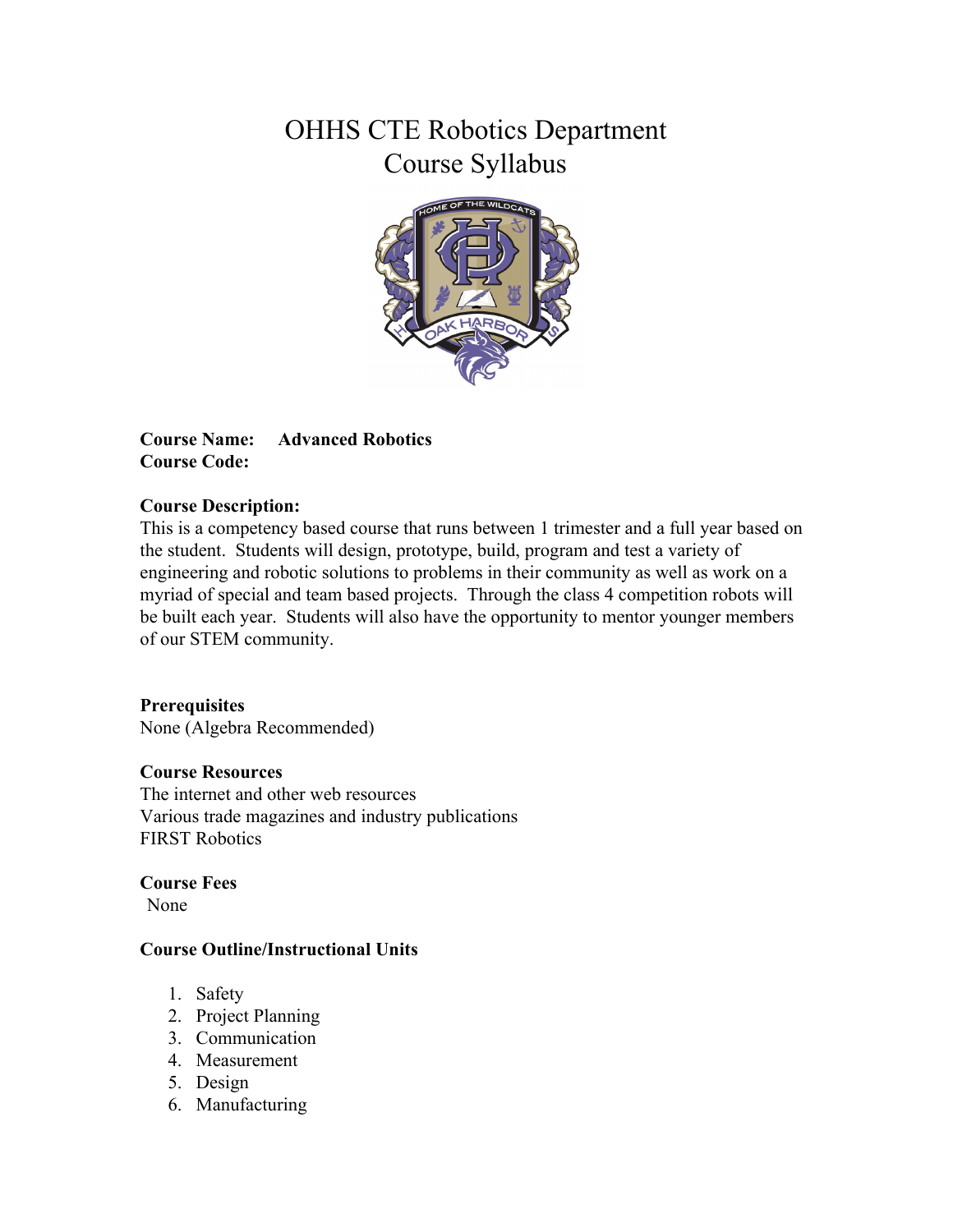# OHHS CTE Robotics Department Course Syllabus



**Course Name: Advanced Robotics Course Code:**

# **Course Description:**

This is a competency based course that runs between 1 trimester and a full year based on the student. Students will design, prototype, build, program and test a variety of engineering and robotic solutions to problems in their community as well as work on a myriad of special and team based projects. Through the class 4 competition robots will be built each year. Students will also have the opportunity to mentor younger members of our STEM community.

### **Prerequisites**

None (Algebra Recommended)

### **Course Resources**

The internet and other web resources Various trade magazines and industry publications FIRST Robotics

**Course Fees**

None

### **Course Outline/Instructional Units**

- 1. Safety
- 2. Project Planning
- 3. Communication
- 4. Measurement
- 5. Design
- 6. Manufacturing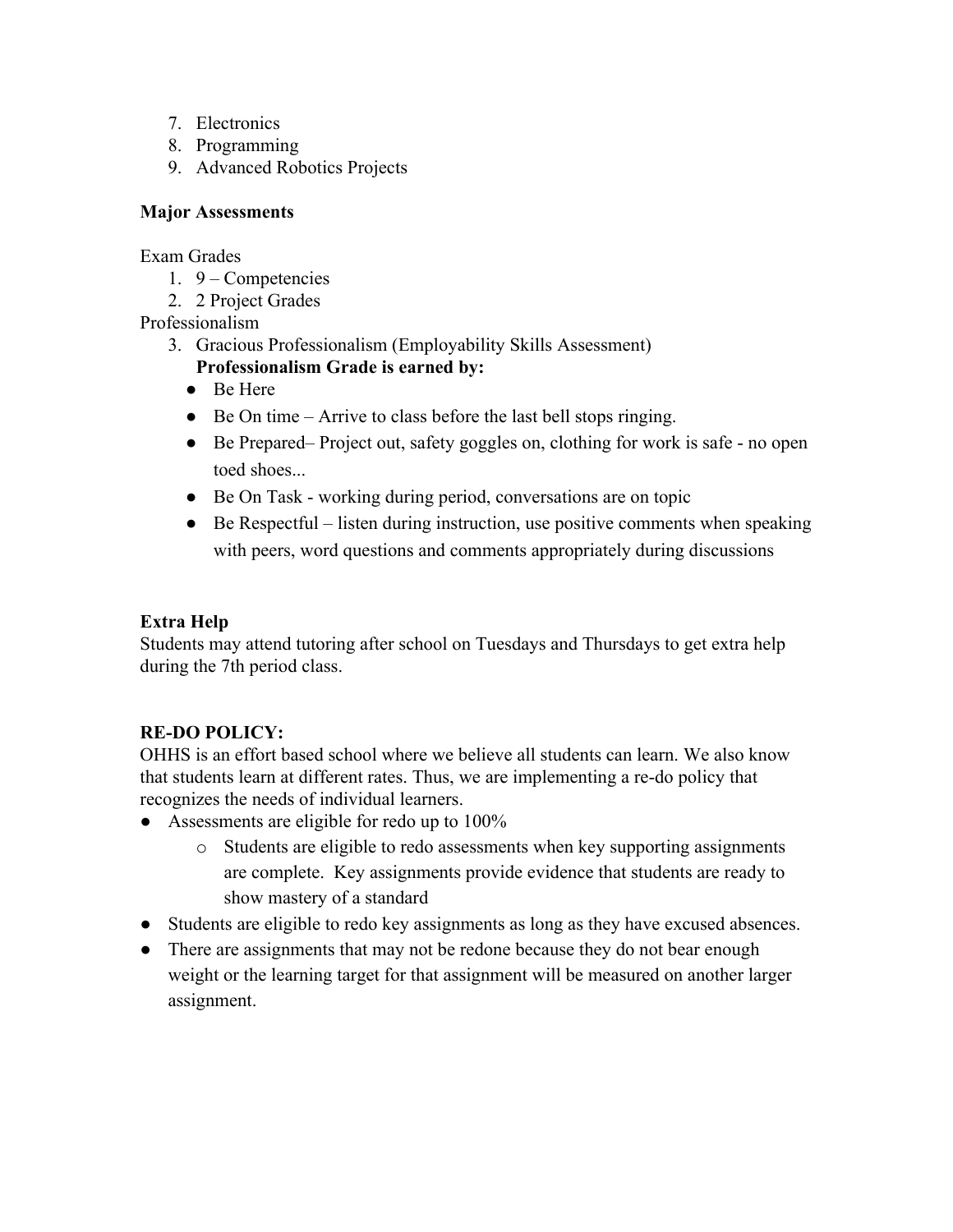- 7. Electronics
- 8. Programming
- 9. Advanced Robotics Projects

# **Major Assessments**

Exam Grades

- 1. 9 Competencies
- 2. 2 Project Grades

Professionalism

- 3. Gracious Professionalism (Employability Skills Assessment) **Professionalism Grade is earned by:**
	- Be Here
	- $\bullet$  Be On time Arrive to class before the last bell stops ringing.
	- Be Prepared– Project out, safety goggles on, clothing for work is safe no open toed shoes...
	- Be On Task working during period, conversations are on topic
	- $\bullet$  Be Respectful listen during instruction, use positive comments when speaking with peers, word questions and comments appropriately during discussions

# **Extra Help**

Students may attend tutoring after school on Tuesdays and Thursdays to get extra help during the 7th period class.

# **RE-DO POLICY:**

OHHS is an effort based school where we believe all students can learn. We also know that students learn at different rates. Thus, we are implementing a re-do policy that recognizes the needs of individual learners.

- Assessments are eligible for redo up to 100%
	- o Students are eligible to redo assessments when key supporting assignments are complete. Key assignments provide evidence that students are ready to show mastery of a standard
- Students are eligible to redo key assignments as long as they have excused absences.
- There are assignments that may not be redone because they do not bear enough weight or the learning target for that assignment will be measured on another larger assignment.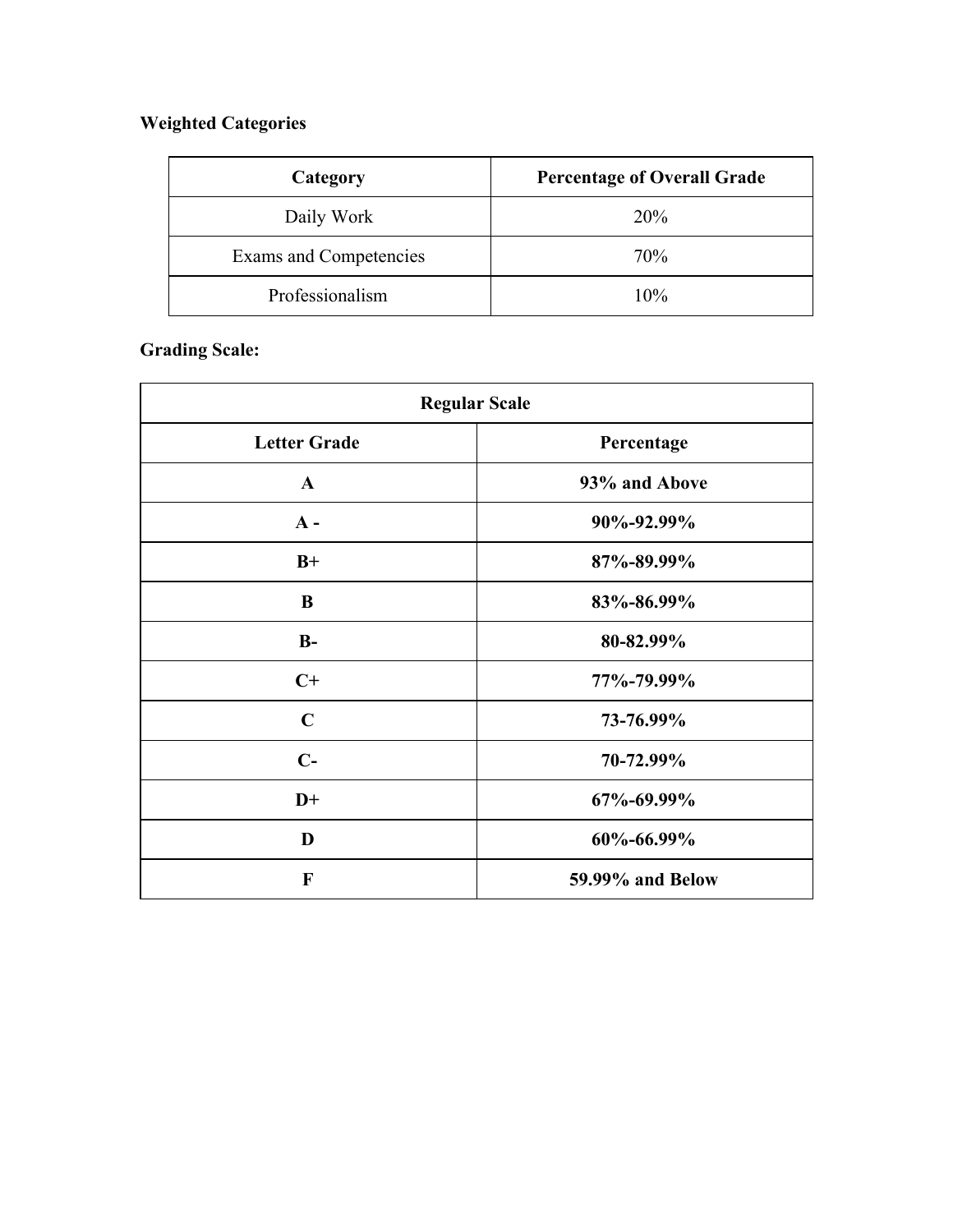# **Weighted Categories**

| Category               | <b>Percentage of Overall Grade</b> |
|------------------------|------------------------------------|
| Daily Work             | 20%                                |
| Exams and Competencies | 70%                                |
| Professionalism        | 10%                                |

# **Grading Scale:**

| <b>Regular Scale</b> |                  |
|----------------------|------------------|
| <b>Letter Grade</b>  | Percentage       |
| $\mathbf{A}$         | 93% and Above    |
| $A -$                | 90%-92.99%       |
| $B+$                 | 87%-89.99%       |
| B                    | 83%-86.99%       |
| $B-$                 | 80-82.99%        |
| $C+$                 | 77%-79.99%       |
| $\mathbf C$          | 73-76.99%        |
| $C-$                 | 70-72.99%        |
| $D+$                 | 67%-69.99%       |
| D                    | 60%-66.99%       |
| F                    | 59.99% and Below |